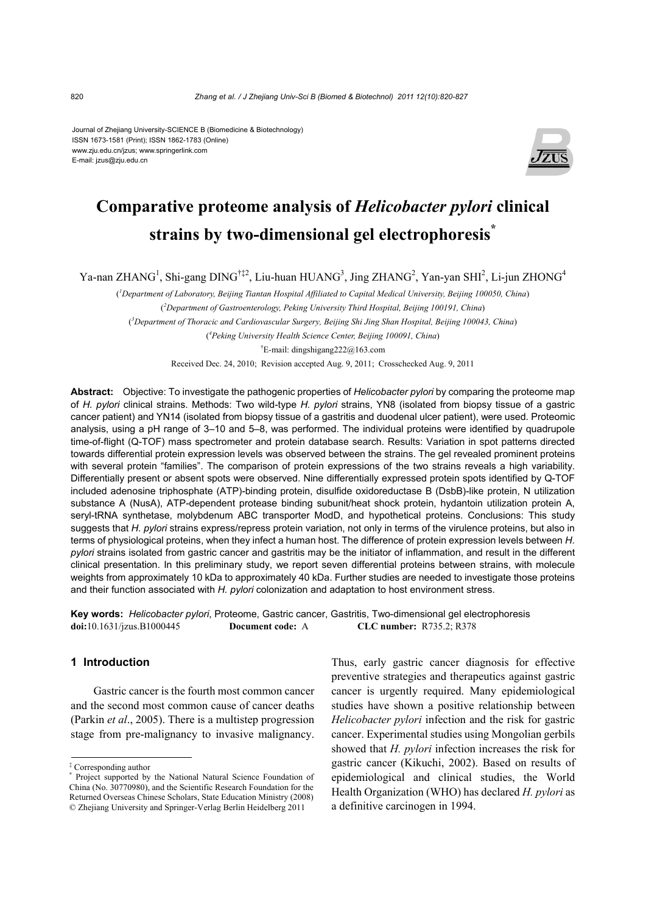Journal of Zhejiang University-SCIENCE B (Biomedicine & Biotechnology) ISSN 1673-1581 (Print); ISSN 1862-1783 (Online) www.zju.edu.cn/jzus; www.springerlink.com E-mail: jzus@zju.edu.cn



# **Comparative proteome analysis of** *Helicobacter pylori* **clinical strains by two-dimensional gel electrophoresis\***

Ya-nan ZHANG<sup>1</sup>, Shi-gang DING<sup>†‡2</sup>, Liu-huan HUANG<sup>3</sup>, Jing ZHANG<sup>2</sup>, Yan-yan SHI<sup>2</sup>, Li-jun ZHONG<sup>4</sup>

( *1 Department of Laboratory, Beijing Tiantan Hospital Affiliated to Capital Medical University, Beijing 100050, China*) ( *2 Department of Gastroenterology, Peking University Third Hospital, Beijing 100191, China*) ( *3 Department of Thoracic and Cardiovascular Surgery, Beijing Shi Jing Shan Hospital, Beijing 100043, China*) ( *4 Peking University Health Science Center, Beijing 100091, China*) † E-mail: dingshigang222@163.com Received Dec. 24, 2010; Revision accepted Aug. 9, 2011; Crosschecked Aug. 9, 2011

**Abstract:** Objective: To investigate the pathogenic properties of *Helicobacter pylori* by comparing the proteome map of *H. pylori* clinical strains. Methods: Two wild-type *H. pylori* strains, YN8 (isolated from biopsy tissue of a gastric cancer patient) and YN14 (isolated from biopsy tissue of a gastritis and duodenal ulcer patient), were used. Proteomic analysis, using a pH range of 3–10 and 5–8, was performed. The individual proteins were identified by quadrupole time-of-flight (Q-TOF) mass spectrometer and protein database search. Results: Variation in spot patterns directed towards differential protein expression levels was observed between the strains. The gel revealed prominent proteins with several protein "families". The comparison of protein expressions of the two strains reveals a high variability. Differentially present or absent spots were observed. Nine differentially expressed protein spots identified by Q-TOF included adenosine triphosphate (ATP)-binding protein, disulfide oxidoreductase B (DsbB)-like protein, N utilization substance A (NusA), ATP-dependent protease binding subunit/heat shock protein, hydantoin utilization protein A, seryl-tRNA synthetase, molybdenum ABC transporter ModD, and hypothetical proteins. Conclusions: This study suggests that *H. pylori* strains express/repress protein variation, not only in terms of the virulence proteins, but also in terms of physiological proteins, when they infect a human host. The difference of protein expression levels between *H. pylori* strains isolated from gastric cancer and gastritis may be the initiator of inflammation, and result in the different clinical presentation. In this preliminary study, we report seven differential proteins between strains, with molecule weights from approximately 10 kDa to approximately 40 kDa. Further studies are needed to investigate those proteins and their function associated with *H. pylori* colonization and adaptation to host environment stress.

**Key words:** *Helicobacter pylori*, Proteome, Gastric cancer, Gastritis, Two-dimensional gel electrophoresis **doi:**10.1631/jzus.B1000445 **Document code:** A **CLC number:** R735.2; R378

# **1 Introduction**

Gastric cancer is the fourth most common cancer and the second most common cause of cancer deaths (Parkin *et al*., 2005). There is a multistep progression stage from pre-malignancy to invasive malignancy. Thus, early gastric cancer diagnosis for effective preventive strategies and therapeutics against gastric cancer is urgently required. Many epidemiological studies have shown a positive relationship between *Helicobacter pylori* infection and the risk for gastric cancer. Experimental studies using Mongolian gerbils showed that *H. pylori* infection increases the risk for gastric cancer (Kikuchi, 2002). Based on results of epidemiological and clinical studies, the World Health Organization (WHO) has declared *H. pylori* as a definitive carcinogen in 1994.

<sup>‡</sup> Corresponding author

<sup>\*</sup> Project supported by the National Natural Science Foundation of China (No. 30770980), and the Scientific Research Foundation for the Returned Overseas Chinese Scholars, State Education Ministry (2008) © Zhejiang University and Springer-Verlag Berlin Heidelberg 2011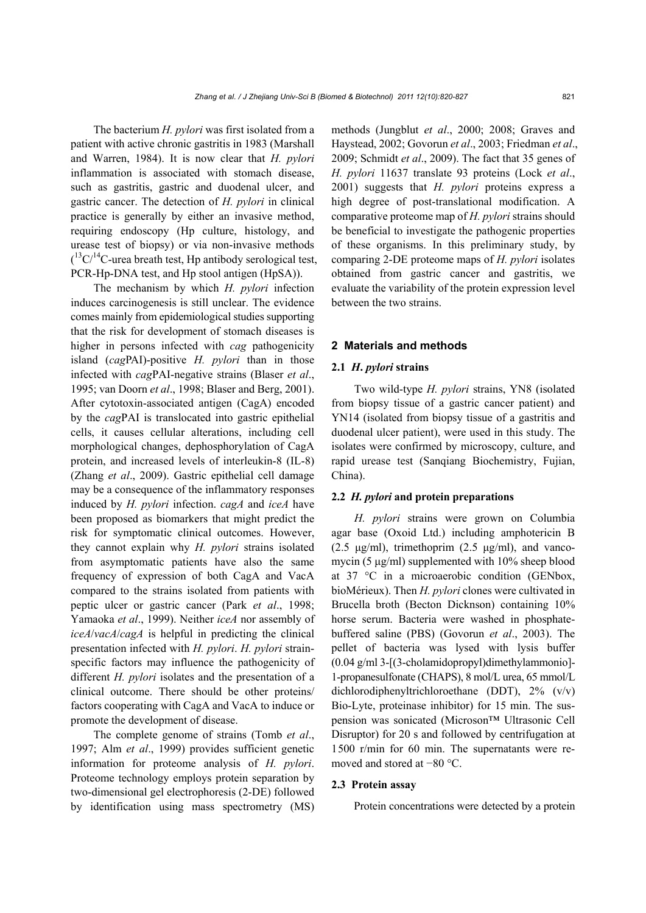The bacterium *H. pylori* was first isolated from a patient with active chronic gastritis in 1983 (Marshall and Warren, 1984). It is now clear that *H. pylori* inflammation is associated with stomach disease, such as gastritis, gastric and duodenal ulcer, and gastric cancer. The detection of *H. pylori* in clinical practice is generally by either an invasive method, requiring endoscopy (Hp culture, histology, and urease test of biopsy) or via non-invasive methods  $($ <sup>13</sup>C/<sup>14</sup>C-urea breath test, Hp antibody serological test, PCR-Hp-DNA test, and Hp stool antigen (HpSA)).

The mechanism by which *H. pylori* infection induces carcinogenesis is still unclear. The evidence comes mainly from epidemiological studies supporting that the risk for development of stomach diseases is higher in persons infected with *cag* pathogenicity island (*cag*PAI)-positive *H. pylori* than in those infected with *cag*PAI-negative strains (Blaser *et al*., 1995; van Doorn *et al*., 1998; Blaser and Berg, 2001). After cytotoxin-associated antigen (CagA) encoded by the *cag*PAI is translocated into gastric epithelial cells, it causes cellular alterations, including cell morphological changes, dephosphorylation of CagA protein, and increased levels of interleukin-8 (IL-8) (Zhang *et al*., 2009). Gastric epithelial cell damage may be a consequence of the inflammatory responses induced by *H. pylori* infection. *cagA* and *iceA* have been proposed as biomarkers that might predict the risk for symptomatic clinical outcomes. However, they cannot explain why *H. pylori* strains isolated from asymptomatic patients have also the same frequency of expression of both CagA and VacA compared to the strains isolated from patients with peptic ulcer or gastric cancer (Park *et al*., 1998; Yamaoka *et al*., 1999). Neither *iceA* nor assembly of *iceA*/*vacA*/*cagA* is helpful in predicting the clinical presentation infected with *H. pylori*. *H. pylori* strainspecific factors may influence the pathogenicity of different *H. pylori* isolates and the presentation of a clinical outcome. There should be other proteins/ factors cooperating with CagA and VacA to induce or promote the development of disease.

The complete genome of strains (Tomb *et al*., 1997; Alm *et al*., 1999) provides sufficient genetic information for proteome analysis of *H. pylori*. Proteome technology employs protein separation by two-dimensional gel electrophoresis (2-DE) followed by identification using mass spectrometry (MS) methods (Jungblut *et al*., 2000; 2008; Graves and Haystead, 2002; Govorun *et al*., 2003; Friedman *et al*., 2009; Schmidt *et al*., 2009). The fact that 35 genes of *H. pylori* 11637 translate 93 proteins (Lock *et al*., 2001) suggests that *H. pylori* proteins express a high degree of post-translational modification. A comparative proteome map of *H. pylori* strains should be beneficial to investigate the pathogenic properties of these organisms. In this preliminary study, by comparing 2-DE proteome maps of *H. pylori* isolates obtained from gastric cancer and gastritis, we evaluate the variability of the protein expression level between the two strains.

## **2 Materials and methods**

## **2.1** *H***.** *pylori* **strains**

Two wild-type *H. pylori* strains, YN8 (isolated from biopsy tissue of a gastric cancer patient) and YN14 (isolated from biopsy tissue of a gastritis and duodenal ulcer patient), were used in this study. The isolates were confirmed by microscopy, culture, and rapid urease test (Sanqiang Biochemistry, Fujian, China).

# **2.2** *H. pylori* **and protein preparations**

*H. pylori* strains were grown on Columbia agar base (Oxoid Ltd.) including amphotericin B  $(2.5 \text{ μg/ml})$ , trimethoprim  $(2.5 \text{ μg/ml})$ , and vancomycin (5 μg/ml) supplemented with 10% sheep blood at 37 °C in a microaerobic condition (GENbox, bioMérieux). Then *H. pylori* clones were cultivated in Brucella broth (Becton Dicknson) containing 10% horse serum. Bacteria were washed in phosphatebuffered saline (PBS) (Govorun *et al*., 2003). The pellet of bacteria was lysed with lysis buffer (0.04 g/ml 3-[(3-cholamidopropyl)dimethylammonio]- 1-propanesulfonate (CHAPS), 8 mol/L urea, 65 mmol/L dichlorodiphenyltrichloroethane (DDT), 2% (v/v) Bio-Lyte, proteinase inhibitor) for 15 min. The suspension was sonicated (Microson™ Ultrasonic Cell Disruptor) for 20 s and followed by centrifugation at 1500 r/min for 60 min. The supernatants were removed and stored at −80 °C.

## **2.3 Protein assay**

Protein concentrations were detected by a protein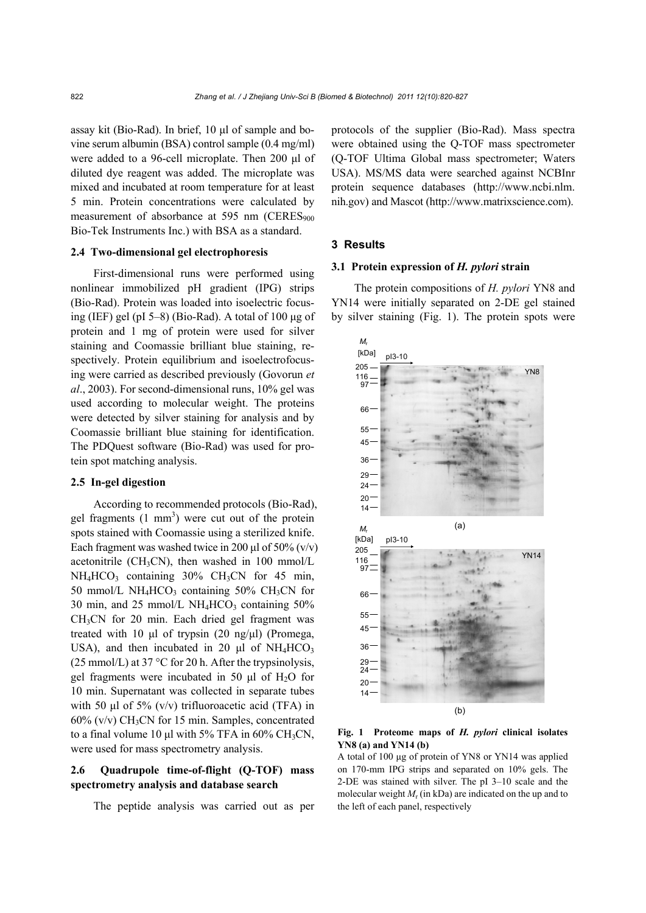assay kit (Bio-Rad). In brief, 10 μl of sample and bovine serum albumin (BSA) control sample (0.4 mg/ml) were added to a 96-cell microplate. Then 200 μl of diluted dye reagent was added. The microplate was mixed and incubated at room temperature for at least 5 min. Protein concentrations were calculated by measurement of absorbance at 595 nm (CERES<sub>900</sub>) Bio-Tek Instruments Inc.) with BSA as a standard.

## **2.4 Two-dimensional gel electrophoresis**

First-dimensional runs were performed using nonlinear immobilized pH gradient (IPG) strips (Bio-Rad). Protein was loaded into isoelectric focusing (IEF) gel (pI 5–8) (Bio-Rad). A total of 100 μg of protein and 1 mg of protein were used for silver staining and Coomassie brilliant blue staining, respectively. Protein equilibrium and isoelectrofocusing were carried as described previously (Govorun *et al*., 2003). For second-dimensional runs, 10% gel was used according to molecular weight. The proteins were detected by silver staining for analysis and by Coomassie brilliant blue staining for identification. The PDQuest software (Bio-Rad) was used for protein spot matching analysis.

# **2.5 In-gel digestion**

According to recommended protocols (Bio-Rad), gel fragments  $(1 \text{ mm}^3)$  were cut out of the protein spots stained with Coomassie using a sterilized knife. Each fragment was washed twice in 200 μl of 50%  $(v/v)$ acetonitrile (CH<sub>3</sub>CN), then washed in 100 mmol/L  $NH_4HCO_3$  containing 30% CH<sub>3</sub>CN for 45 min, 50 mmol/L NH<sub>4</sub>HCO<sub>3</sub> containing 50% CH<sub>3</sub>CN for 30 min, and 25 mmol/L NH<sub>4</sub>HCO<sub>3</sub> containing  $50\%$ CH3CN for 20 min. Each dried gel fragment was treated with 10 μl of trypsin (20 ng/μl) (Promega, USA), and then incubated in 20  $\mu$ l of NH<sub>4</sub>HCO<sub>3</sub>  $(25 \text{ mmol/L})$  at 37 °C for 20 h. After the trypsinolysis, gel fragments were incubated in 50  $\mu$ l of H<sub>2</sub>O for 10 min. Supernatant was collected in separate tubes with 50  $\mu$ l of 5% (v/v) trifluoroacetic acid (TFA) in  $60\%$  (v/v) CH<sub>3</sub>CN for 15 min. Samples, concentrated to a final volume 10 μl with 5% TFA in  $60\%$  CH<sub>3</sub>CN, were used for mass spectrometry analysis.

# **2.6 Quadrupole time-of-flight (Q-TOF) mass spectrometry analysis and database search**

The peptide analysis was carried out as per

protocols of the supplier (Bio-Rad). Mass spectra were obtained using the Q-TOF mass spectrometer (Q-TOF Ultima Global mass spectrometer; Waters USA). MS/MS data were searched against NCBInr protein sequence databases (http://www.ncbi.nlm. nih.gov) and Mascot (http://www.matrixscience.com).

# **3 Results**

### **3.1 Protein expression of** *H. pylori* **strain**

The protein compositions of *H. pylori* YN8 and YN14 were initially separated on 2-DE gel stained by silver staining (Fig. 1). The protein spots were



## **Fig. 1 Proteome maps of** *H. pylori* **clinical isolates YN8 (a) and YN14 (b)**

A total of 100 μg of protein of YN8 or YN14 was applied on 170-mm IPG strips and separated on 10% gels. The 2-DE was stained with silver. The pI 3–10 scale and the molecular weight *M*r (in kDa) are indicated on the up and to the left of each panel, respectively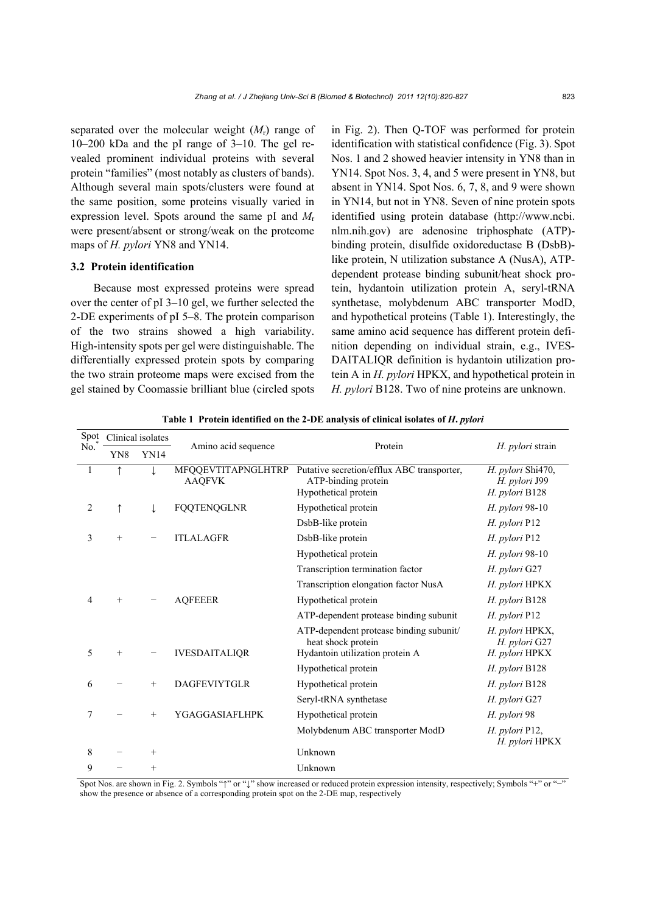separated over the molecular weight (*M*r) range of 10–200 kDa and the pI range of 3–10. The gel revealed prominent individual proteins with several protein "families" (most notably as clusters of bands). Although several main spots/clusters were found at the same position, some proteins visually varied in expression level. Spots around the same pI and *M*<sup>r</sup> were present/absent or strong/weak on the proteome maps of *H. pylori* YN8 and YN14.

# **3.2 Protein identification**

Because most expressed proteins were spread over the center of pI 3–10 gel, we further selected the 2-DE experiments of pI 5–8. The protein comparison of the two strains showed a high variability. High-intensity spots per gel were distinguishable. The differentially expressed protein spots by comparing the two strain proteome maps were excised from the gel stained by Coomassie brilliant blue (circled spots in Fig. 2). Then Q-TOF was performed for protein identification with statistical confidence (Fig. 3). Spot Nos. 1 and 2 showed heavier intensity in YN8 than in YN14. Spot Nos. 3, 4, and 5 were present in YN8, but absent in YN14. Spot Nos. 6, 7, 8, and 9 were shown in YN14, but not in YN8. Seven of nine protein spots identified using protein database (http://www.ncbi. nlm.nih.gov) are adenosine triphosphate (ATP) binding protein, disulfide oxidoreductase B (DsbB) like protein, N utilization substance A (NusA), ATPdependent protease binding subunit/heat shock protein, hydantoin utilization protein A, seryl-tRNA synthetase, molybdenum ABC transporter ModD, and hypothetical proteins (Table 1). Interestingly, the same amino acid sequence has different protein definition depending on individual strain, e.g., IVES-DAITALIQR definition is hydantoin utilization protein A in *H. pylori* HPKX, and hypothetical protein in *H. pylori* B128. Two of nine proteins are unknown.

| Spot<br>No.    | Clinical isolates |             |                                     |                                                                                                  |                                                      |
|----------------|-------------------|-------------|-------------------------------------|--------------------------------------------------------------------------------------------------|------------------------------------------------------|
|                | YN8               | <b>YN14</b> | Amino acid sequence                 | Protein                                                                                          | H. pylori strain                                     |
| 1              | $\uparrow$        |             | MFQQEVTITAPNGLHTRP<br><b>AAQFVK</b> | Putative secretion/efflux ABC transporter,<br>ATP-binding protein<br>Hypothetical protein        | H. pylori Shi470,<br>H. pylori J99<br>H. pylori B128 |
| $\overline{2}$ | $\uparrow$        |             | FQQTENQGLNR                         | Hypothetical protein                                                                             | H. pylori 98-10                                      |
|                |                   |             |                                     | DsbB-like protein                                                                                | H. pylori P12                                        |
| 3              | $^{+}$            |             | <b>ITLALAGFR</b>                    | DsbB-like protein                                                                                | H. pylori P12                                        |
|                |                   |             |                                     | Hypothetical protein                                                                             | H. pylori 98-10                                      |
|                |                   |             |                                     | Transcription termination factor                                                                 | H. pylori G27                                        |
|                |                   |             |                                     | Transcription elongation factor NusA                                                             | H. pylori HPKX                                       |
| $\overline{4}$ | $+$               |             | <b>AQFEEER</b>                      | Hypothetical protein                                                                             | H. pylori B128                                       |
|                |                   |             |                                     | ATP-dependent protease binding subunit                                                           | H. pylori P12                                        |
| 5              | $+$               |             | <b>IVESDAITALIQR</b>                | ATP-dependent protease binding subunit/<br>heat shock protein<br>Hydantoin utilization protein A | H. pylori HPKX,<br>H. pylori G27<br>H. pylori HPKX   |
|                |                   |             |                                     | Hypothetical protein                                                                             | H. pylori B128                                       |
| 6              |                   | $^{+}$      | <b>DAGFEVIYTGLR</b>                 | Hypothetical protein                                                                             | H. pylori B128                                       |
|                |                   |             |                                     | Seryl-tRNA synthetase                                                                            | H. pylori G27                                        |
| 7              |                   | $^{+}$      | YGAGGASIAFLHPK                      | Hypothetical protein                                                                             | H. pylori 98                                         |
|                |                   |             |                                     | Molybdenum ABC transporter ModD                                                                  | H. pylori P12,<br>H. pylori HPKX                     |
| 8              |                   | $^{+}$      |                                     | Unknown                                                                                          |                                                      |
| 9              |                   | $^{+}$      |                                     | Unknown                                                                                          |                                                      |

**Table 1 Protein identified on the 2-DE analysis of clinical isolates of** *H***.** *pylori*

Spot Nos. are shown in Fig. 2. Symbols "↑" or "↓" show increased or reduced protein expression intensity, respectively; Symbols "+" or "-" show the presence or absence of a corresponding protein spot on the 2-DE map, respectively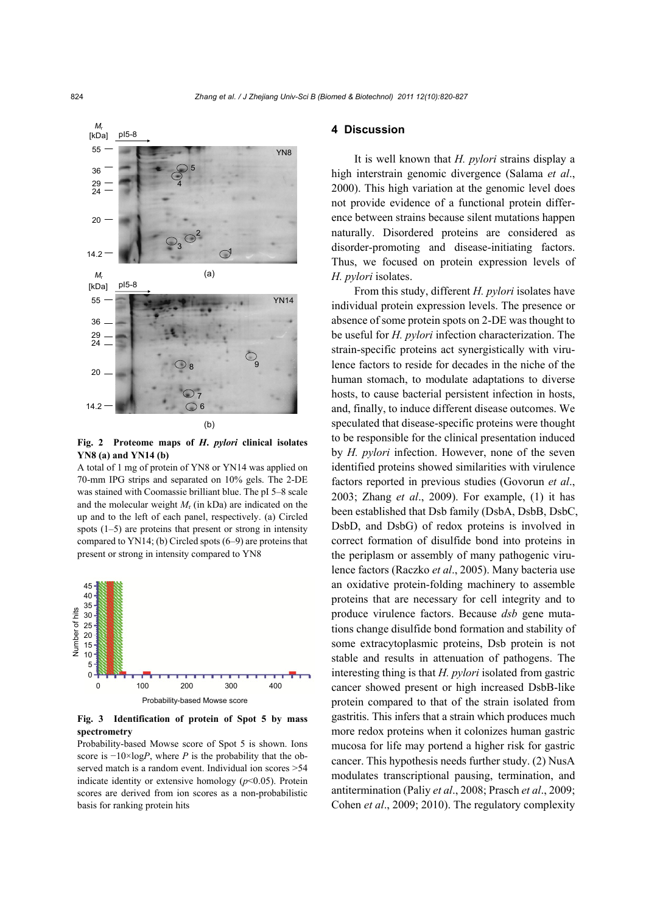

**Fig. 2 Proteome maps of** *H***.** *pylori* **clinical isolates YN8 (a) and YN14 (b)**

A total of 1 mg of protein of YN8 or YN14 was applied on 70-mm IPG strips and separated on 10% gels. The 2-DE was stained with Coomassie brilliant blue. The pI 5–8 scale and the molecular weight  $M_r$  (in kDa) are indicated on the up and to the left of each panel, respectively. (a) Circled spots  $(1-5)$  are proteins that present or strong in intensity compared to YN14; (b) Circled spots (6–9) are proteins that present or strong in intensity compared to YN8



**Fig. 3 Identification of protein of Spot 5 by mass spectrometry** 

Probability-based Mowse score of Spot 5 is shown. Ions score is  $-10 \times \log P$ , where *P* is the probability that the observed match is a random event. Individual ion scores >54 indicate identity or extensive homology (*p*<0.05). Protein scores are derived from ion scores as a non-probabilistic basis for ranking protein hits

## **4 Discussion**

It is well known that *H. pylori* strains display a high interstrain genomic divergence (Salama *et al*., 2000). This high variation at the genomic level does not provide evidence of a functional protein difference between strains because silent mutations happen naturally. Disordered proteins are considered as disorder-promoting and disease-initiating factors. Thus, we focused on protein expression levels of *H. pylori* isolates.

From this study, different *H. pylori* isolates have individual protein expression levels. The presence or absence of some protein spots on 2-DE was thought to be useful for *H. pylori* infection characterization. The strain-specific proteins act synergistically with virulence factors to reside for decades in the niche of the human stomach, to modulate adaptations to diverse hosts, to cause bacterial persistent infection in hosts, and, finally, to induce different disease outcomes. We speculated that disease-specific proteins were thought to be responsible for the clinical presentation induced by *H. pylori* infection. However, none of the seven identified proteins showed similarities with virulence factors reported in previous studies (Govorun *et al*., 2003; Zhang *et al*., 2009). For example, (1) it has been established that Dsb family (DsbA, DsbB, DsbC, DsbD, and DsbG) of redox proteins is involved in correct formation of disulfide bond into proteins in the periplasm or assembly of many pathogenic virulence factors (Raczko *et al*., 2005). Many bacteria use an oxidative protein-folding machinery to assemble proteins that are necessary for cell integrity and to produce virulence factors. Because *dsb* gene mutations change disulfide bond formation and stability of some extracytoplasmic proteins, Dsb protein is not stable and results in attenuation of pathogens. The interesting thing is that *H. pylori* isolated from gastric cancer showed present or high increased DsbB-like protein compared to that of the strain isolated from gastritis. This infers that a strain which produces much more redox proteins when it colonizes human gastric mucosa for life may portend a higher risk for gastric cancer. This hypothesis needs further study. (2) NusA modulates transcriptional pausing, termination, and antitermination (Paliy *et al*., 2008; Prasch *et al*., 2009; Cohen *et al*., 2009; 2010). The regulatory complexity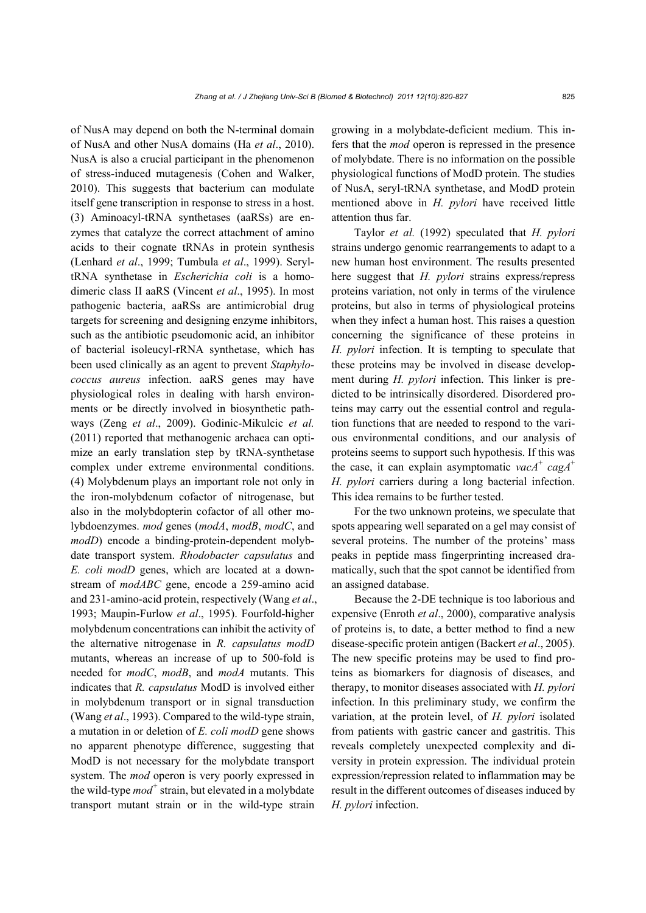of NusA may depend on both the N-terminal domain of NusA and other NusA domains (Ha *et al*., 2010). NusA is also a crucial participant in the phenomenon of stress-induced mutagenesis (Cohen and Walker, 2010). This suggests that bacterium can modulate itself gene transcription in response to stress in a host. (3) Aminoacyl-tRNA synthetases (aaRSs) are enzymes that catalyze the correct attachment of amino acids to their cognate tRNAs in protein synthesis (Lenhard *et al*., 1999; Tumbula *et al*., 1999). SeryltRNA synthetase in *Escherichia coli* is a homodimeric class II aaRS (Vincent *et al*., 1995). In most pathogenic bacteria, aaRSs are antimicrobial drug targets for screening and designing enzyme inhibitors, such as the antibiotic pseudomonic acid, an inhibitor of bacterial isoleucyl-rRNA synthetase, which has been used clinically as an agent to prevent *Staphylococcus aureus* infection. aaRS genes may have physiological roles in dealing with harsh environments or be directly involved in biosynthetic pathways (Zeng *et al*., 2009). Godinic-Mikulcic *et al.* (2011) reported that methanogenic archaea can optimize an early translation step by tRNA-synthetase complex under extreme environmental conditions. (4) Molybdenum plays an important role not only in the iron-molybdenum cofactor of nitrogenase, but also in the molybdopterin cofactor of all other molybdoenzymes. *mod* genes (*modA*, *modB*, *modC*, and *modD*) encode a binding-protein-dependent molybdate transport system. *Rhodobacter capsulatus* and *E. coli modD* genes, which are located at a downstream of *modABC* gene, encode a 259-amino acid and 231-amino-acid protein, respectively (Wang *et al*., 1993; Maupin-Furlow *et al*., 1995). Fourfold-higher molybdenum concentrations can inhibit the activity of the alternative nitrogenase in *R. capsulatus modD* mutants, whereas an increase of up to 500-fold is needed for *modC*, *modB*, and *modA* mutants. This indicates that *R. capsulatus* ModD is involved either in molybdenum transport or in signal transduction (Wang *et al*., 1993). Compared to the wild-type strain, a mutation in or deletion of *E. coli modD* gene shows no apparent phenotype difference, suggesting that ModD is not necessary for the molybdate transport system. The *mod* operon is very poorly expressed in the wild-type *mod<sup>+</sup>* strain, but elevated in a molybdate transport mutant strain or in the wild-type strain

growing in a molybdate-deficient medium. This infers that the *mod* operon is repressed in the presence of molybdate. There is no information on the possible physiological functions of ModD protein. The studies of NusA, seryl-tRNA synthetase, and ModD protein mentioned above in *H. pylori* have received little attention thus far.

Taylor *et al.* (1992) speculated that *H. pylori* strains undergo genomic rearrangements to adapt to a new human host environment. The results presented here suggest that *H. pylori* strains express/repress proteins variation, not only in terms of the virulence proteins, but also in terms of physiological proteins when they infect a human host. This raises a question concerning the significance of these proteins in *H. pylori* infection. It is tempting to speculate that these proteins may be involved in disease development during *H. pylori* infection. This linker is predicted to be intrinsically disordered. Disordered proteins may carry out the essential control and regulation functions that are needed to respond to the various environmental conditions, and our analysis of proteins seems to support such hypothesis. If this was the case, it can explain asymptomatic *vacA*<sup>+</sup> *cagA*<sup>+</sup> *H. pylori* carriers during a long bacterial infection. This idea remains to be further tested.

For the two unknown proteins, we speculate that spots appearing well separated on a gel may consist of several proteins. The number of the proteins' mass peaks in peptide mass fingerprinting increased dramatically, such that the spot cannot be identified from an assigned database.

Because the 2-DE technique is too laborious and expensive (Enroth *et al*., 2000), comparative analysis of proteins is, to date, a better method to find a new disease-specific protein antigen (Backert *et al*., 2005). The new specific proteins may be used to find proteins as biomarkers for diagnosis of diseases, and therapy, to monitor diseases associated with *H. pylori*  infection. In this preliminary study, we confirm the variation, at the protein level, of *H. pylori* isolated from patients with gastric cancer and gastritis. This reveals completely unexpected complexity and diversity in protein expression. The individual protein expression/repression related to inflammation may be result in the different outcomes of diseases induced by *H. pylori* infection.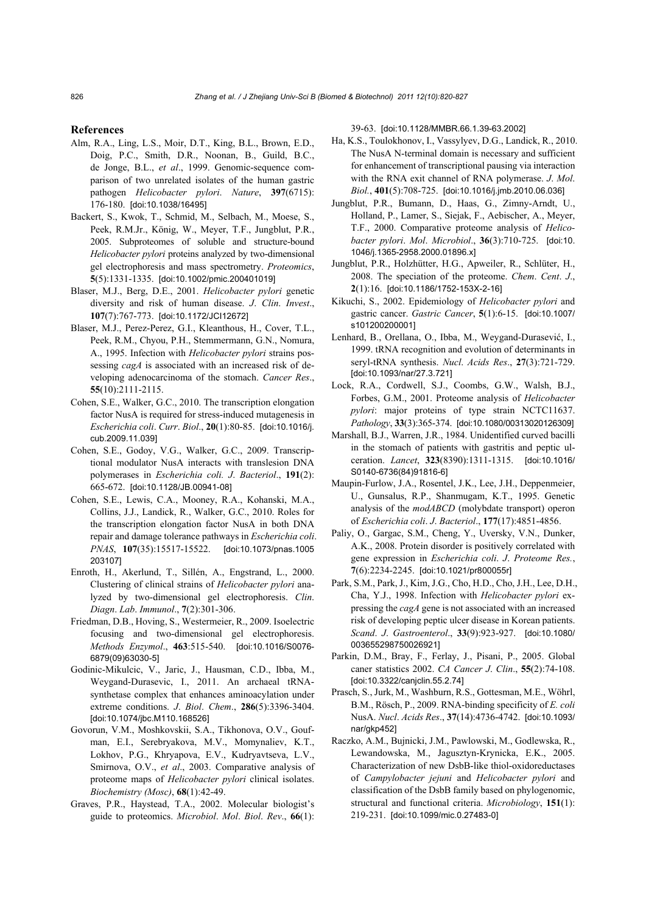#### **References**

- Alm, R.A., Ling, L.S., Moir, D.T., King, B.L., Brown, E.D., Doig, P.C., Smith, D.R., Noonan, B., Guild, B.C., de Jonge, B.L., *et al*., 1999. Genomic-sequence comparison of two unrelated isolates of the human gastric pathogen *Helicobacter pylori*. *Nature*, **397**(6715): 176-180. [doi:10.1038/16495]
- Backert, S., Kwok, T., Schmid, M., Selbach, M., Moese, S., Peek, R.M.Jr., König, W., Meyer, T.F., Jungblut, P.R., 2005. Subproteomes of soluble and structure-bound *Helicobacter pylori* proteins analyzed by two-dimensional gel electrophoresis and mass spectrometry. *Proteomics*, **5**(5):1331-1335. [doi:10.1002/pmic.200401019]
- Blaser, M.J., Berg, D.E., 2001. *Helicobacter pylori* genetic diversity and risk of human disease. *J*. *Clin*. *Invest*., **107**(7):767-773. [doi:10.1172/JCI12672]
- Blaser, M.J., Perez-Perez, G.I., Kleanthous, H., Cover, T.L., Peek, R.M., Chyou, P.H., Stemmermann, G.N., Nomura, A., 1995. Infection with *Helicobacter pylori* strains possessing *cagA* is associated with an increased risk of developing adenocarcinoma of the stomach. *Cancer Res*., **55**(10):2111-2115.
- Cohen, S.E., Walker, G.C., 2010. The transcription elongation factor NusA is required for stress-induced mutagenesis in *Escherichia coli*. *Curr*. *Biol*., **20**(1):80-85. [doi:10.1016/j. cub.2009.11.039]
- Cohen, S.E., Godoy, V.G., Walker, G.C., 2009. Transcriptional modulator NusA interacts with translesion DNA polymerases in *Escherichia coli. J*. *Bacteriol*., **191**(2): 665-672. [doi:10.1128/JB.00941-08]
- Cohen, S.E., Lewis, C.A., Mooney, R.A., Kohanski, M.A., Collins, J.J., Landick, R., Walker, G.C., 2010. Roles for the transcription elongation factor NusA in both DNA repair and damage tolerance pathways in *Escherichia coli*. *PNAS*, **107**(35):15517-15522. [doi:10.1073/pnas.1005 203107]
- Enroth, H., Akerlund, T., Sillén, A., Engstrand, L., 2000. Clustering of clinical strains of *Helicobacter pylori* analyzed by two-dimensional gel electrophoresis. *Clin*. *Diagn*. *Lab*. *Immunol*., **7**(2):301-306.
- Friedman, D.B., Hoving, S., Westermeier, R., 2009. Isoelectric focusing and two-dimensional gel electrophoresis. *Methods Enzymol*., **463**:515-540. [doi:10.1016/S0076- 6879(09)63030-5]
- Godinic-Mikulcic, V., Jaric, J., Hausman, C.D., Ibba, M., Weygand-Durasevic, I., 2011. An archaeal tRNAsynthetase complex that enhances aminoacylation under extreme conditions. *J*. *Biol*. *Chem*., **286**(5):3396-3404. [doi:10.1074/jbc.M110.168526]
- Govorun, V.M., Moshkovskii, S.A., Tikhonova, O.V., Goufman, E.I., Serebryakova, M.V., Momynaliev, K.T., Lokhov, P.G., Khryapova, E.V., Kudryavtseva, L.V., Smirnova, O.V., *et al*., 2003. Comparative analysis of proteome maps of *Helicobacter pylori* clinical isolates. *Biochemistry (Mosc)*, **68**(1):42-49.
- Graves, P.R., Haystead, T.A., 2002. Molecular biologist's guide to proteomics. *Microbiol*. *Mol*. *Biol*. *Rev*., **66**(1):

39-63. [doi:10.1128/MMBR.66.1.39-63.2002]

- Ha, K.S., Toulokhonov, I., Vassylyev, D.G., Landick, R., 2010. The NusA N-terminal domain is necessary and sufficient for enhancement of transcriptional pausing via interaction with the RNA exit channel of RNA polymerase. *J*. *Mol*. *Biol.*, **401**(5):708-725. [doi:10.1016/j.jmb.2010.06.036]
- Jungblut, P.R., Bumann, D., Haas, G., Zimny-Arndt, U., Holland, P., Lamer, S., Siejak, F., Aebischer, A., Meyer, T.F., 2000. Comparative proteome analysis of *Helicobacter pylori*. *Mol*. *Microbiol*., **36**(3):710-725. [doi:10. 1046/j.1365-2958.2000.01896.x]
- Jungblut, P.R., Holzhütter, H.G., Apweiler, R., Schlüter, H., 2008. The speciation of the proteome. *Chem*. *Cent*. *J*., **2**(1):16.[doi:10.1186/1752-153X-2-16]
- Kikuchi, S., 2002. Epidemiology of *Helicobacter pylori* and gastric cancer. *Gastric Cancer*, **5**(1):6-15. [doi:10.1007/ s101200200001]
- Lenhard, B., Orellana, O., Ibba, M., Weygand-Durasević, I., 1999. tRNA recognition and evolution of determinants in seryl-tRNA synthesis. *Nucl*. *Acids Res*., **27**(3):721-729. [doi:10.1093/nar/27.3.721]
- Lock, R.A., Cordwell, S.J., Coombs, G.W., Walsh, B.J., Forbes, G.M., 2001. Proteome analysis of *Helicobacter pylori*: major proteins of type strain NCTC11637. *Pathology*, **33**(3):365-374. [doi:10.1080/00313020126309]
- Marshall, B.J., Warren, J.R., 1984. Unidentified curved bacilli in the stomach of patients with gastritis and peptic ulceration. *Lancet*, **323**(8390):1311-1315. [doi:10.1016/ S0140-6736(84)91816-6]
- Maupin-Furlow, J.A., Rosentel, J.K., Lee, J.H., Deppenmeier, U., Gunsalus, R.P., Shanmugam, K.T., 1995. Genetic analysis of the *modABCD* (molybdate transport) operon of *Escherichia coli*. *J*. *Bacteriol*., **177**(17):4851-4856.
- Paliy, O., Gargac, S.M., Cheng, Y., Uversky, V.N., Dunker, A.K., 2008. Protein disorder is positively correlated with gene expression in *Escherichia coli*. *J*. *Proteome Res.*, **7**(6):2234-2245. [doi:10.1021/pr800055r]
- Park, S.M., Park, J., Kim, J.G., Cho, H.D., Cho, J.H., Lee, D.H., Cha, Y.J., 1998. Infection with *Helicobacter pylori* expressing the *cagA* gene is not associated with an increased risk of developing peptic ulcer disease in Korean patients. *Scand*. *J*. *Gastroenterol*., **33**(9):923-927. [doi:10.1080/ 003655298750026921]
- Parkin, D.M., Bray, F., Ferlay, J., Pisani, P., 2005. Global caner statistics 2002. *CA Cancer J*. *Clin*., **55**(2):74-108. [doi:10.3322/canjclin.55.2.74]
- Prasch, S., Jurk, M., Washburn, R.S., Gottesman, M.E., Wöhrl, B.M., Rösch, P., 2009. RNA-binding specificity of *E. coli* NusA. *Nucl*. *Acids Res*., **37**(14):4736-4742. [doi:10.1093/ nar/gkp452]
- Raczko, A.M., Bujnicki, J.M., Pawlowski, M., Godlewska, R., Lewandowska, M., Jagusztyn-Krynicka, E.K., 2005. Characterization of new DsbB-like thiol-oxidoreductases of *Campylobacter jejuni* and *Helicobacter pylori* and classification of the DsbB family based on phylogenomic, structural and functional criteria. *Microbiology*, **151**(1): 219-231. [doi:10.1099/mic.0.27483-0]